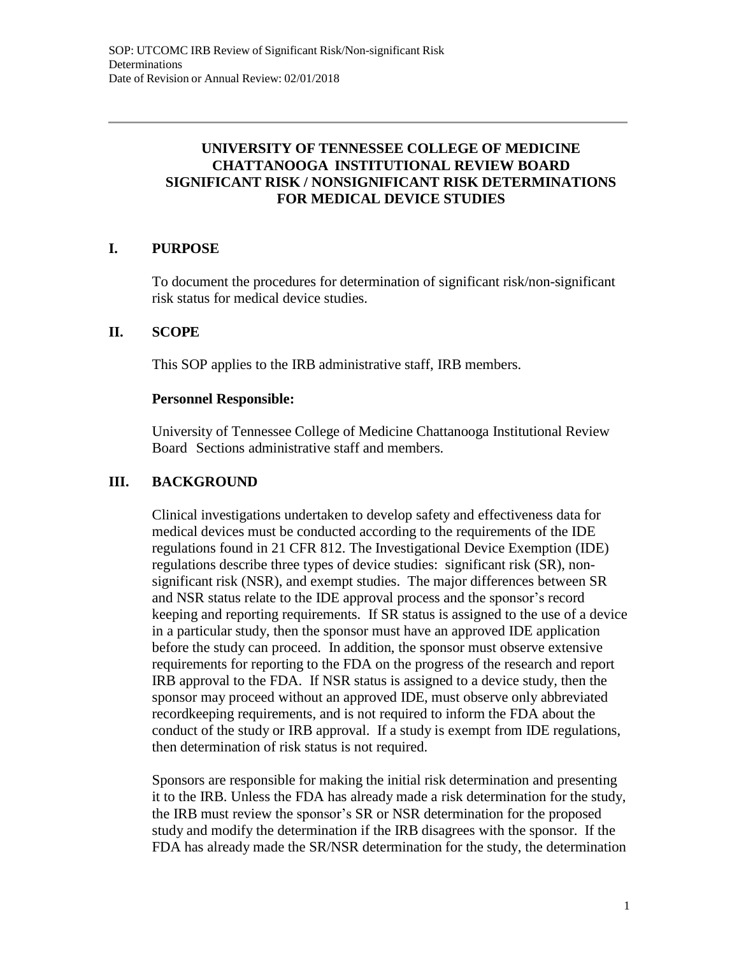## **UNIVERSITY OF TENNESSEE COLLEGE OF MEDICINE CHATTANOOGA INSTITUTIONAL REVIEW BOARD SIGNIFICANT RISK / NONSIGNIFICANT RISK DETERMINATIONS FOR MEDICAL DEVICE STUDIES**

# **I. PURPOSE**

To document the procedures for determination of significant risk/non-significant risk status for medical device studies.

#### **II. SCOPE**

This SOP applies to the IRB administrative staff, IRB members.

#### **Personnel Responsible:**

University of Tennessee College of Medicine Chattanooga Institutional Review Board Sections administrative staff and members.

## **III. BACKGROUND**

Clinical investigations undertaken to develop safety and effectiveness data for medical devices must be conducted according to the requirements of the IDE regulations found in 21 CFR 812. The Investigational Device Exemption (IDE) regulations describe three types of device studies: significant risk (SR), nonsignificant risk (NSR), and exempt studies. The major differences between SR and NSR status relate to the IDE approval process and the sponsor's record keeping and reporting requirements. If SR status is assigned to the use of a device in a particular study, then the sponsor must have an approved IDE application before the study can proceed. In addition, the sponsor must observe extensive requirements for reporting to the FDA on the progress of the research and report IRB approval to the FDA. If NSR status is assigned to a device study, then the sponsor may proceed without an approved IDE, must observe only abbreviated recordkeeping requirements, and is not required to inform the FDA about the conduct of the study or IRB approval. If a study is exempt from IDE regulations, then determination of risk status is not required.

Sponsors are responsible for making the initial risk determination and presenting it to the IRB. Unless the FDA has already made a risk determination for the study, the IRB must review the sponsor's SR or NSR determination for the proposed study and modify the determination if the IRB disagrees with the sponsor. If the FDA has already made the SR/NSR determination for the study, the determination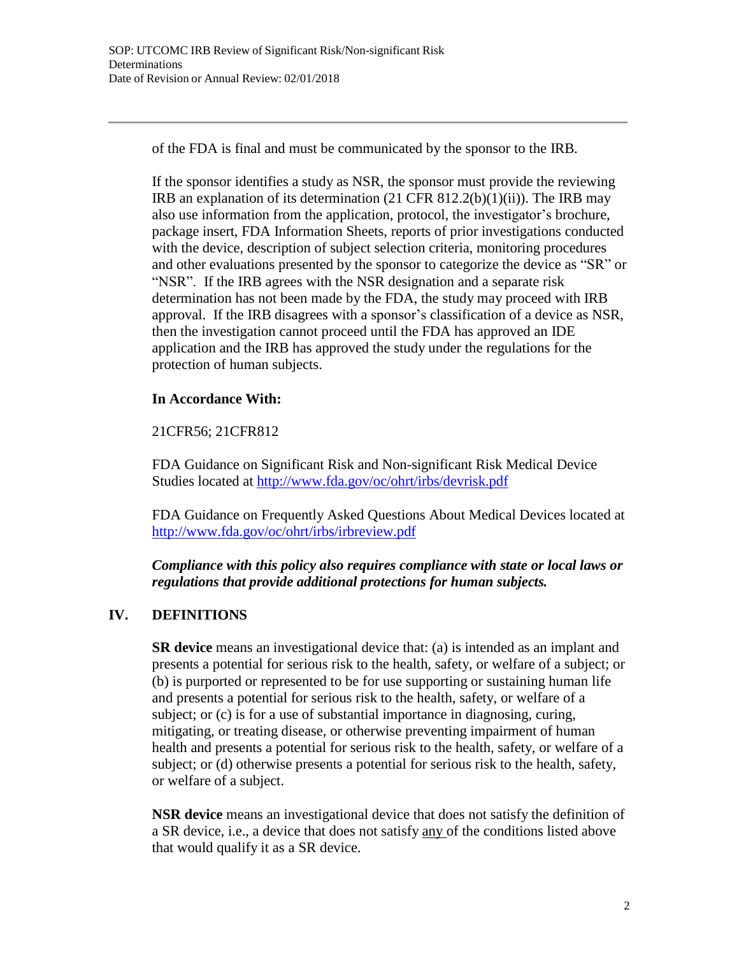of the FDA is final and must be communicated by the sponsor to the IRB.

If the sponsor identifies a study as NSR, the sponsor must provide the reviewing IRB an explanation of its determination (21 CFR 812.2(b)(1)(ii)). The IRB may also use information from the application, protocol, the investigator's brochure, package insert, FDA Information Sheets, reports of prior investigations conducted with the device, description of subject selection criteria, monitoring procedures and other evaluations presented by the sponsor to categorize the device as "SR" or "NSR". If the IRB agrees with the NSR designation and a separate risk determination has not been made by the FDA, the study may proceed with IRB approval. If the IRB disagrees with a sponsor's classification of a device as NSR, then the investigation cannot proceed until the FDA has approved an IDE application and the IRB has approved the study under the regulations for the protection of human subjects.

# **In Accordance With:**

21CFR56; 21CFR812

FDA Guidance on Significant Risk and Non-significant Risk Medical Device Studies located at <http://www.fda.gov/oc/ohrt/irbs/devrisk.pdf>

FDA Guidance on Frequently Asked Questions About Medical Devices located at <http://www.fda.gov/oc/ohrt/irbs/irbreview.pdf>

*Compliance with this policy also requires compliance with state or local laws or regulations that provide additional protections for human subjects.*

# **IV. DEFINITIONS**

**SR device** means an investigational device that: (a) is intended as an implant and presents a potential for serious risk to the health, safety, or welfare of a subject; or (b) is purported or represented to be for use supporting or sustaining human life and presents a potential for serious risk to the health, safety, or welfare of a subject; or (c) is for a use of substantial importance in diagnosing, curing, mitigating, or treating disease, or otherwise preventing impairment of human health and presents a potential for serious risk to the health, safety, or welfare of a subject; or (d) otherwise presents a potential for serious risk to the health, safety, or welfare of a subject.

**NSR device** means an investigational device that does not satisfy the definition of a SR device, i.e., a device that does not satisfy any of the conditions listed above that would qualify it as a SR device.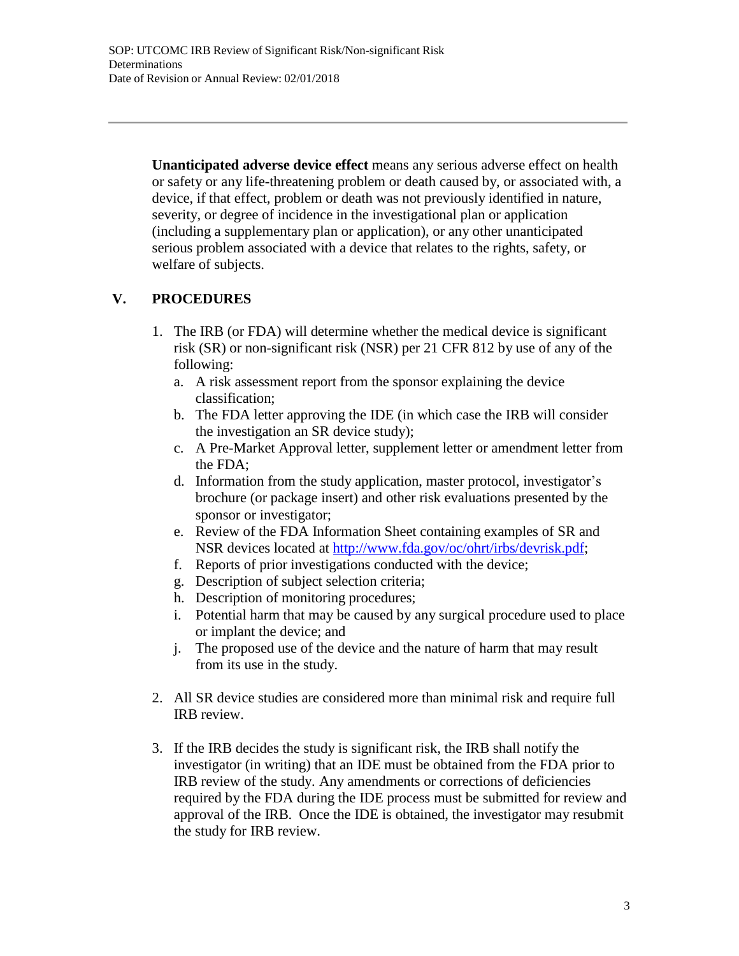**Unanticipated adverse device effect** means any serious adverse effect on health or safety or any life-threatening problem or death caused by, or associated with, a device, if that effect, problem or death was not previously identified in nature, severity, or degree of incidence in the investigational plan or application (including a supplementary plan or application), or any other unanticipated serious problem associated with a device that relates to the rights, safety, or welfare of subjects.

# **V. PROCEDURES**

- 1. The IRB (or FDA) will determine whether the medical device is significant risk (SR) or non-significant risk (NSR) per 21 CFR 812 by use of any of the following:
	- a. A risk assessment report from the sponsor explaining the device classification;
	- b. The FDA letter approving the IDE (in which case the IRB will consider the investigation an SR device study);
	- c. A Pre-Market Approval letter, supplement letter or amendment letter from the FDA;
	- d. Information from the study application, master protocol, investigator's brochure (or package insert) and other risk evaluations presented by the sponsor or investigator;
	- e. Review of the FDA Information Sheet containing examples of SR and NSR devices located at [http://www.fda.gov/oc/ohrt/irbs/devrisk.pdf;](http://www.fda.gov/oc/ohrt/irbs/devrisk.pdf)
	- f. Reports of prior investigations conducted with the device;
	- g. Description of subject selection criteria;
	- h. Description of monitoring procedures;
	- i. Potential harm that may be caused by any surgical procedure used to place or implant the device; and
	- j. The proposed use of the device and the nature of harm that may result from its use in the study.
- 2. All SR device studies are considered more than minimal risk and require full IRB review.
- 3. If the IRB decides the study is significant risk, the IRB shall notify the investigator (in writing) that an IDE must be obtained from the FDA prior to IRB review of the study. Any amendments or corrections of deficiencies required by the FDA during the IDE process must be submitted for review and approval of the IRB. Once the IDE is obtained, the investigator may resubmit the study for IRB review.